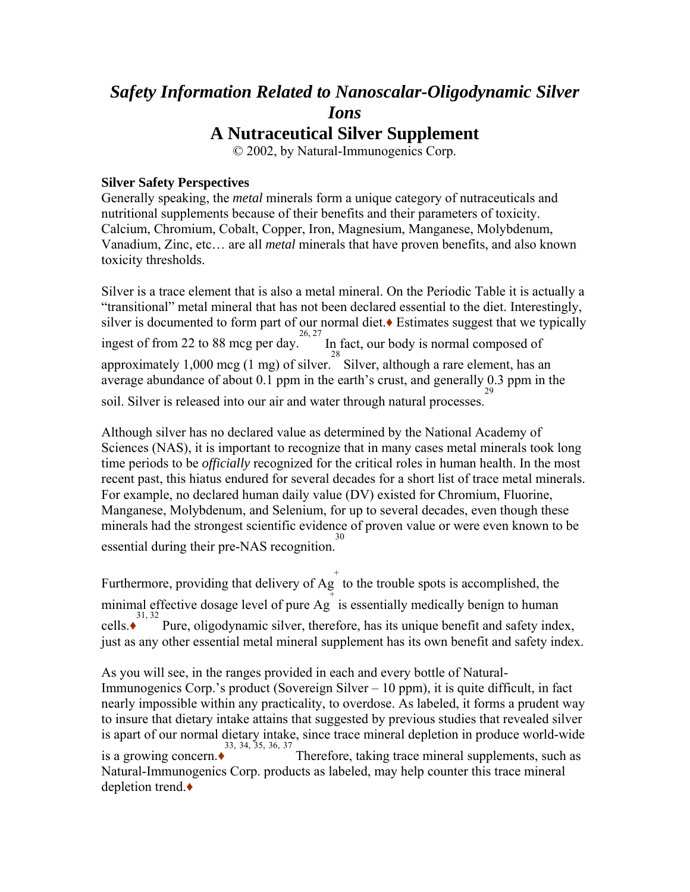# *Safety Information Related to Nanoscalar-Oligodynamic Silver Ions*

# **A Nutraceutical Silver Supplement**

© 2002, by Natural-Immunogenics Corp.

#### **Silver Safety Perspectives**

Generally speaking, the *metal* minerals form a unique category of nutraceuticals and nutritional supplements because of their benefits and their parameters of toxicity. Calcium, Chromium, Cobalt, Copper, Iron, Magnesium, Manganese, Molybdenum, Vanadium, Zinc, etc… are all *metal* minerals that have proven benefits, and also known toxicity thresholds.

Silver is a trace element that is also a metal mineral. On the Periodic Table it is actually a "transitional" metal mineral that has not been declared essential to the diet. Interestingly, silver is documented to form part of our normal diet.♦ Estimates suggest that we typically ingest of from 22 to 88 mcg per day.<sup>26, 27</sup> In fact, our body is normal composed of approximately  $1,000 \text{ meg} (1 \text{ mg})$  of silver. Silver, although a rare element, has an average abundance of about 0.1 ppm in the earth's crust, and generally 0.3 ppm in the soil. Silver is released into our air and water through natural processes. 29

Although silver has no declared value as determined by the National Academy of Sciences (NAS), it is important to recognize that in many cases metal minerals took long time periods to be *officially* recognized for the critical roles in human health. In the most recent past, this hiatus endured for several decades for a short list of trace metal minerals. For example, no declared human daily value (DV) existed for Chromium, Fluorine, Manganese, Molybdenum, and Selenium, for up to several decades, even though these minerals had the strongest scientific evidence of proven value or were even known to be essential during their pre-NAS recognition. 30

Furthermore, providing that delivery of  $Ag^+$  to the trouble spots is accomplished, the minimal effective dosage level of pure  $\overrightarrow{Ag}$  is essentially medically benign to human cells. $\bullet$ <sup>31, 32</sup> Pure, oligodynamic silver, therefore, has its unique benefit and safety index, just as any other essential metal mineral supplement has its own benefit and safety index.

As you will see, in the ranges provided in each and every bottle of Natural-Immunogenics Corp.'s product (Sovereign Silver – 10 ppm), it is quite difficult, in fact nearly impossible within any practicality, to overdose. As labeled, it forms a prudent way to insure that dietary intake attains that suggested by previous studies that revealed silver is apart of our normal dietary intake, since trace mineral depletion in produce world-wide <sup>33</sup>, <sup>34, 35, 36, 37</sup><br>Therefore, taking trace mineral supplements, such as a growing concern.◆ Natural-Immunogenics Corp. products as labeled, may help counter this trace mineral depletion trend.◆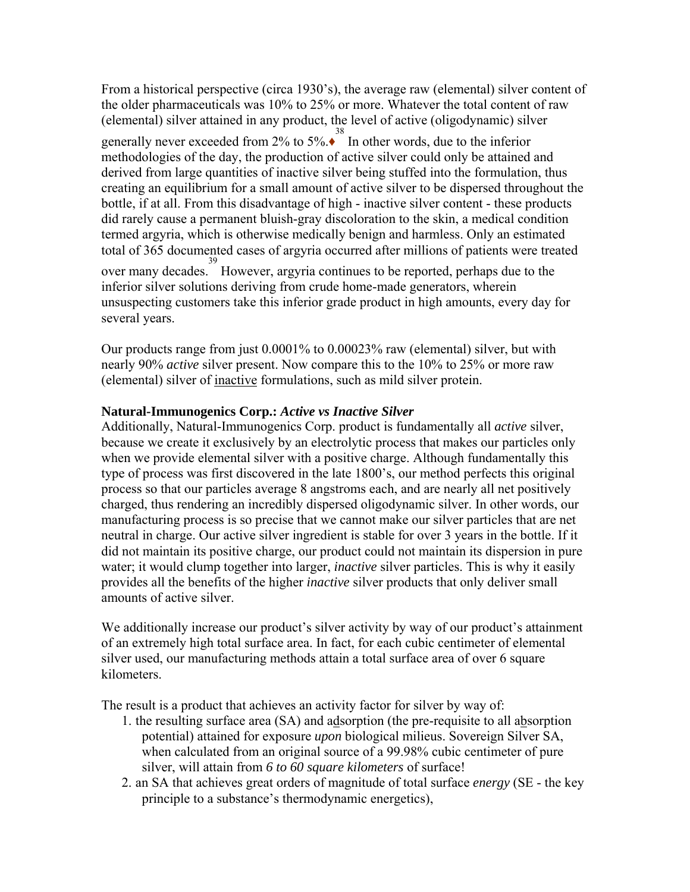From a historical perspective (circa 1930's), the average raw (elemental) silver content of the older pharmaceuticals was 10% to 25% or more. Whatever the total content of raw (elemental) silver attained in any product, the level of active (oligodynamic) silver

generally never exceeded from  $2\%$  to  $5\%$ . In other words, due to the inferior methodologies of the day, the production of active silver could only be attained and derived from large quantities of inactive silver being stuffed into the formulation, thus creating an equilibrium for a small amount of active silver to be dispersed throughout the bottle, if at all. From this disadvantage of high - inactive silver content - these products did rarely cause a permanent bluish-gray discoloration to the skin, a medical condition termed argyria, which is otherwise medically benign and harmless. Only an estimated total of 365 documented cases of argyria occurred after millions of patients were treated

over many decades. 39 However, argyria continues to be reported, perhaps due to the inferior silver solutions deriving from crude home-made generators, wherein unsuspecting customers take this inferior grade product in high amounts, every day for several years.

Our products range from just 0.0001% to 0.00023% raw (elemental) silver, but with nearly 90% *active* silver present. Now compare this to the 10% to 25% or more raw (elemental) silver of inactive formulations, such as mild silver protein.

#### **Natural-Immunogenics Corp.:** *Active vs Inactive Silver*

Additionally, Natural-Immunogenics Corp. product is fundamentally all *active* silver, because we create it exclusively by an electrolytic process that makes our particles only when we provide elemental silver with a positive charge. Although fundamentally this type of process was first discovered in the late 1800's, our method perfects this original process so that our particles average 8 angstroms each, and are nearly all net positively charged, thus rendering an incredibly dispersed oligodynamic silver. In other words, our manufacturing process is so precise that we cannot make our silver particles that are net neutral in charge. Our active silver ingredient is stable for over 3 years in the bottle. If it did not maintain its positive charge, our product could not maintain its dispersion in pure water; it would clump together into larger, *inactive* silver particles. This is why it easily provides all the benefits of the higher *inactive* silver products that only deliver small amounts of active silver.

We additionally increase our product's silver activity by way of our product's attainment of an extremely high total surface area. In fact, for each cubic centimeter of elemental silver used, our manufacturing methods attain a total surface area of over 6 square kilometers.

The result is a product that achieves an activity factor for silver by way of:

- 1. the resulting surface area (SA) and adsorption (the pre-requisite to all absorption potential) attained for exposure *upon* biological milieus. Sovereign Silver SA, when calculated from an original source of a 99.98% cubic centimeter of pure silver, will attain from *6 to 60 square kilometers* of surface!
- 2. an SA that achieves great orders of magnitude of total surface *energy* (SE the key principle to a substance's thermodynamic energetics),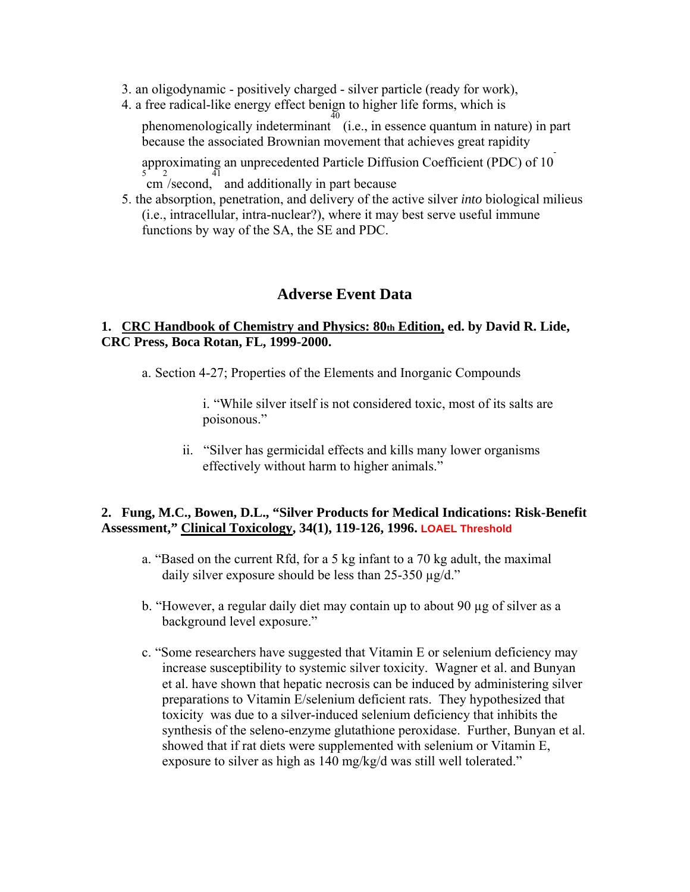- 3. an oligodynamic positively charged silver particle (ready for work),
- 4. a free radical-like energy effect benign to higher life forms, which is

phenomenologically indeterminant (i.e., in essence quantum in nature) in part because the associated Brownian movement that achieves great rapidity

approximating an unprecedented Particle Diffusion Coefficient (PDC) of 10  $\frac{1}{2}$  cm /second, and additionally in part because

5. the absorption, penetration, and delivery of the active silver *into* biological milieus (i.e., intracellular, intra-nuclear?), where it may best serve useful immune functions by way of the SA, the SE and PDC.

### **Adverse Event Data**

#### **1. CRC Handbook of Chemistry and Physics: 80th Edition, ed. by David R. Lide, CRC Press, Boca Rotan, FL, 1999-2000.**

a. Section 4-27; Properties of the Elements and Inorganic Compounds

i. "While silver itself is not considered toxic, most of its salts are poisonous."

ii. "Silver has germicidal effects and kills many lower organisms effectively without harm to higher animals."

#### **2. Fung, M.C., Bowen, D.L., "Silver Products for Medical Indications: Risk-Benefit Assessment," Clinical Toxicology, 34(1), 119-126, 1996. LOAEL Threshold**

- a. "Based on the current Rfd, for a 5 kg infant to a 70 kg adult, the maximal daily silver exposure should be less than  $25-350 \mu g/d$ ."
- b. "However, a regular daily diet may contain up to about 90 µg of silver as a background level exposure."
- c. "Some researchers have suggested that Vitamin E or selenium deficiency may increase susceptibility to systemic silver toxicity. Wagner et al. and Bunyan et al. have shown that hepatic necrosis can be induced by administering silver preparations to Vitamin E/selenium deficient rats. They hypothesized that toxicity was due to a silver-induced selenium deficiency that inhibits the synthesis of the seleno-enzyme glutathione peroxidase. Further, Bunyan et al. showed that if rat diets were supplemented with selenium or Vitamin E, exposure to silver as high as 140 mg/kg/d was still well tolerated."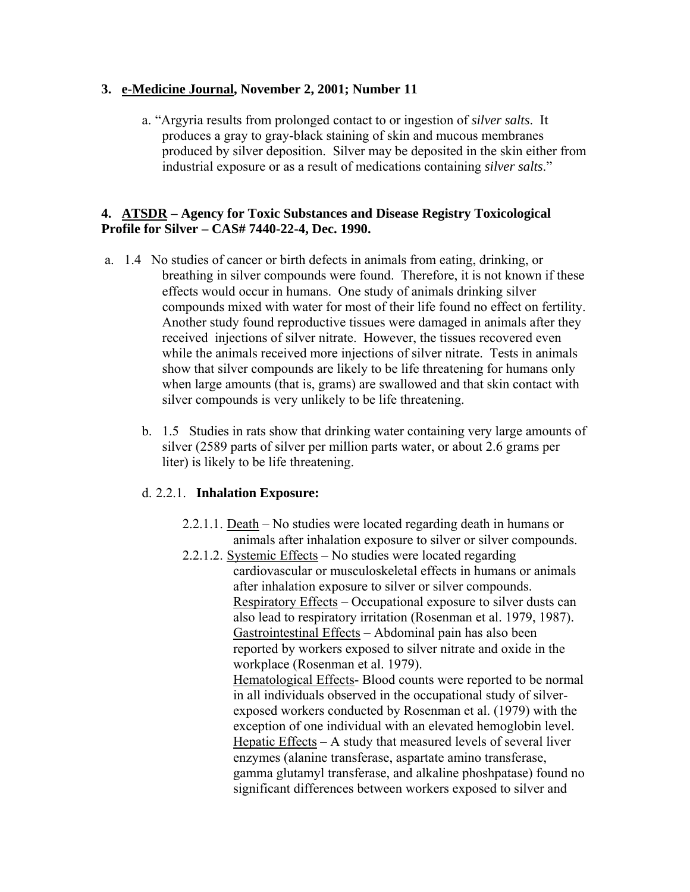### **3. e-Medicine Journal, November 2, 2001; Number 11**

a. "Argyria results from prolonged contact to or ingestion of *silver salts*. It produces a gray to gray-black staining of skin and mucous membranes produced by silver deposition. Silver may be deposited in the skin either from industrial exposure or as a result of medications containing *silver salts*."

#### **4. ATSDR – Agency for Toxic Substances and Disease Registry Toxicological Profile for Silver – CAS# 7440-22-4, Dec. 1990.**

- a. 1.4 No studies of cancer or birth defects in animals from eating, drinking, or breathing in silver compounds were found. Therefore, it is not known if these effects would occur in humans. One study of animals drinking silver compounds mixed with water for most of their life found no effect on fertility. Another study found reproductive tissues were damaged in animals after they received injections of silver nitrate. However, the tissues recovered even while the animals received more injections of silver nitrate. Tests in animals show that silver compounds are likely to be life threatening for humans only when large amounts (that is, grams) are swallowed and that skin contact with silver compounds is very unlikely to be life threatening.
	- b. 1.5 Studies in rats show that drinking water containing very large amounts of silver (2589 parts of silver per million parts water, or about 2.6 grams per liter) is likely to be life threatening.

### d. 2.2.1. **Inhalation Exposure:**

- 2.2.1.1. Death No studies were located regarding death in humans or animals after inhalation exposure to silver or silver compounds.
- 2.2.1.2. Systemic Effects No studies were located regarding cardiovascular or musculoskeletal effects in humans or animals after inhalation exposure to silver or silver compounds. Respiratory Effects – Occupational exposure to silver dusts can also lead to respiratory irritation (Rosenman et al. 1979, 1987). Gastrointestinal Effects – Abdominal pain has also been reported by workers exposed to silver nitrate and oxide in the workplace (Rosenman et al. 1979). Hematological Effects- Blood counts were reported to be normal in all individuals observed in the occupational study of silverexposed workers conducted by Rosenman et al. (1979) with the exception of one individual with an elevated hemoglobin level. Hepatic Effects – A study that measured levels of several liver enzymes (alanine transferase, aspartate amino transferase, gamma glutamyl transferase, and alkaline phoshpatase) found no significant differences between workers exposed to silver and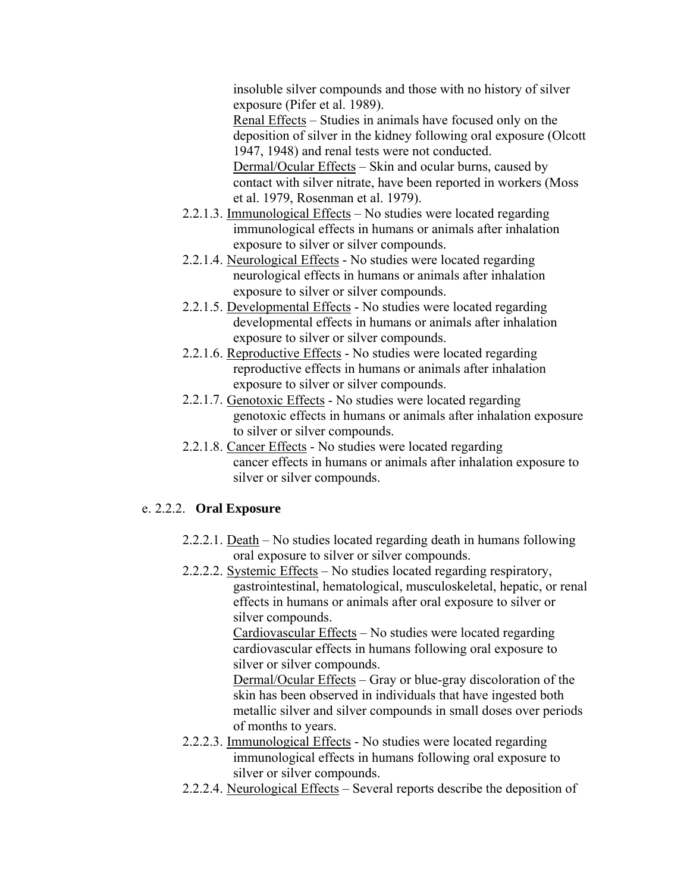insoluble silver compounds and those with no history of silver exposure (Pifer et al. 1989).

Renal Effects – Studies in animals have focused only on the deposition of silver in the kidney following oral exposure (Olcott 1947, 1948) and renal tests were not conducted.

Dermal/Ocular Effects – Skin and ocular burns, caused by contact with silver nitrate, have been reported in workers (Moss et al. 1979, Rosenman et al. 1979).

- 2.2.1.3. Immunological Effects No studies were located regarding immunological effects in humans or animals after inhalation exposure to silver or silver compounds.
- 2.2.1.4. Neurological Effects No studies were located regarding neurological effects in humans or animals after inhalation exposure to silver or silver compounds.
- 2.2.1.5. Developmental Effects No studies were located regarding developmental effects in humans or animals after inhalation exposure to silver or silver compounds.
- 2.2.1.6. Reproductive Effects No studies were located regarding reproductive effects in humans or animals after inhalation exposure to silver or silver compounds.
- 2.2.1.7. Genotoxic Effects No studies were located regarding genotoxic effects in humans or animals after inhalation exposure to silver or silver compounds.
- 2.2.1.8. Cancer Effects No studies were located regarding cancer effects in humans or animals after inhalation exposure to silver or silver compounds.

## e. 2.2.2. **Oral Exposure**

- 2.2.2.1. Death No studies located regarding death in humans following oral exposure to silver or silver compounds.
- 2.2.2.2. Systemic Effects No studies located regarding respiratory, gastrointestinal, hematological, musculoskeletal, hepatic, or renal effects in humans or animals after oral exposure to silver or silver compounds.

Cardiovascular Effects – No studies were located regarding cardiovascular effects in humans following oral exposure to silver or silver compounds.

Dermal/Ocular Effects – Gray or blue-gray discoloration of the skin has been observed in individuals that have ingested both metallic silver and silver compounds in small doses over periods of months to years.

- 2.2.2.3. Immunological Effects No studies were located regarding immunological effects in humans following oral exposure to silver or silver compounds.
- 2.2.2.4. Neurological Effects Several reports describe the deposition of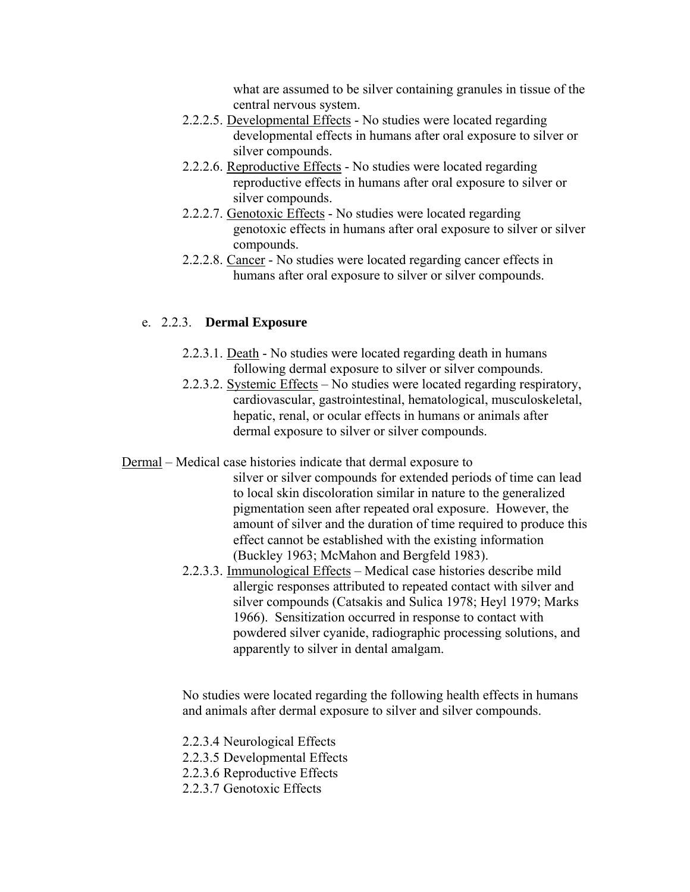what are assumed to be silver containing granules in tissue of the central nervous system.

- 2.2.2.5. Developmental Effects No studies were located regarding developmental effects in humans after oral exposure to silver or silver compounds.
- 2.2.2.6. Reproductive Effects No studies were located regarding reproductive effects in humans after oral exposure to silver or silver compounds.
- 2.2.2.7. Genotoxic Effects No studies were located regarding genotoxic effects in humans after oral exposure to silver or silver compounds.
- 2.2.2.8. Cancer No studies were located regarding cancer effects in humans after oral exposure to silver or silver compounds.

### e. 2.2.3. **Dermal Exposure**

- 2.2.3.1. Death No studies were located regarding death in humans following dermal exposure to silver or silver compounds.
- 2.2.3.2. Systemic Effects No studies were located regarding respiratory, cardiovascular, gastrointestinal, hematological, musculoskeletal, hepatic, renal, or ocular effects in humans or animals after dermal exposure to silver or silver compounds.

Dermal – Medical case histories indicate that dermal exposure to

- silver or silver compounds for extended periods of time can lead to local skin discoloration similar in nature to the generalized pigmentation seen after repeated oral exposure. However, the amount of silver and the duration of time required to produce this effect cannot be established with the existing information (Buckley 1963; McMahon and Bergfeld 1983).
- 2.2.3.3. Immunological Effects Medical case histories describe mild allergic responses attributed to repeated contact with silver and silver compounds (Catsakis and Sulica 1978; Heyl 1979; Marks 1966). Sensitization occurred in response to contact with powdered silver cyanide, radiographic processing solutions, and apparently to silver in dental amalgam.

No studies were located regarding the following health effects in humans and animals after dermal exposure to silver and silver compounds.

2.2.3.4 Neurological Effects

- 2.2.3.5 Developmental Effects
- 2.2.3.6 Reproductive Effects
- 2.2.3.7 Genotoxic Effects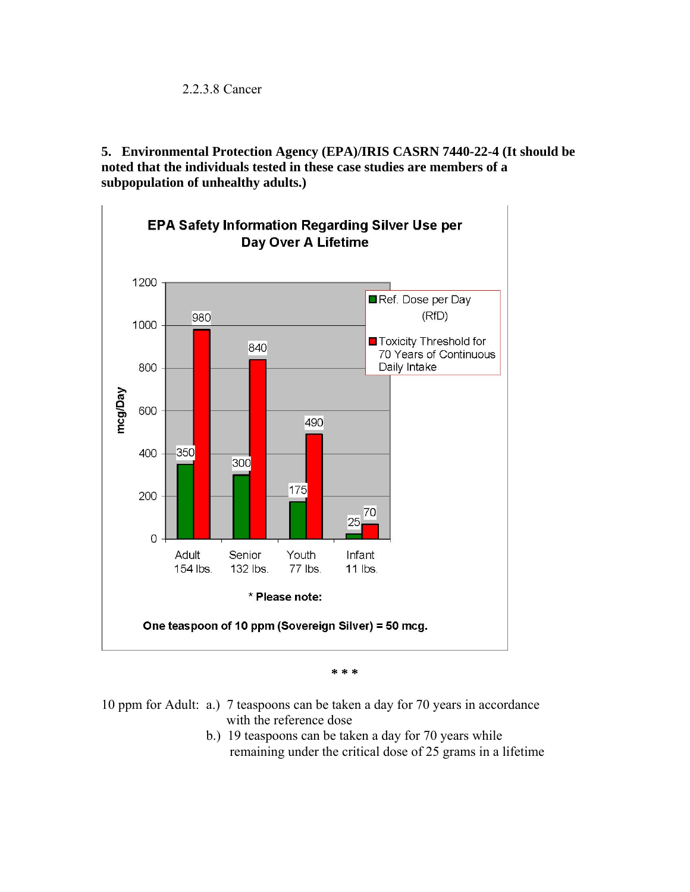**5. Environmental Protection Agency (EPA)/IRIS CASRN 7440-22-4 (It should be noted that the individuals tested in these case studies are members of a subpopulation of unhealthy adults.)** 



**\* \* \*** 

10 ppm for Adult: a.) 7 teaspoons can be taken a day for 70 years in accordance with the reference dose

> b.) 19 teaspoons can be taken a day for 70 years while remaining under the critical dose of 25 grams in a lifetime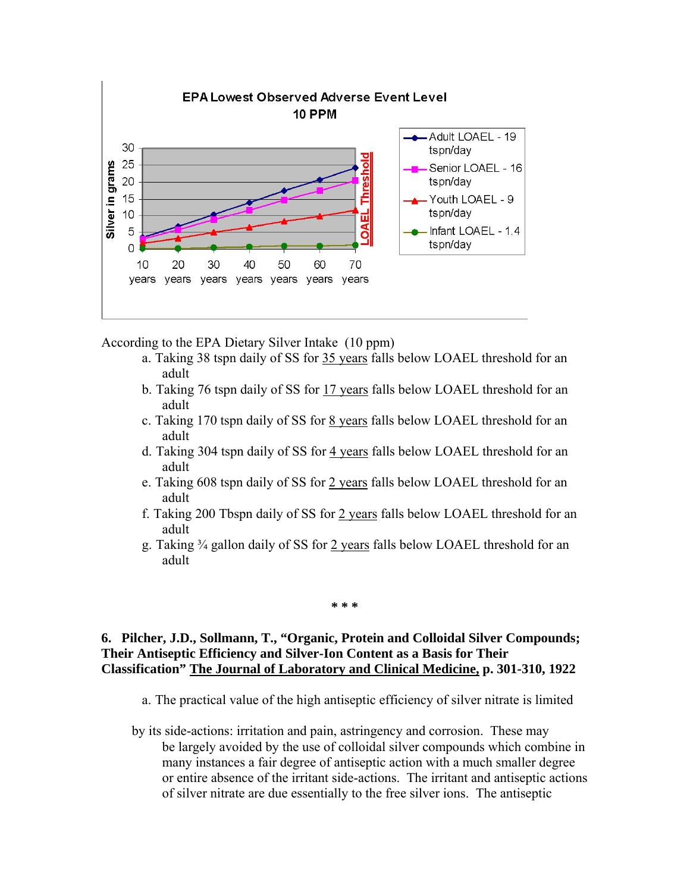

According to the EPA Dietary Silver Intake (10 ppm)

- a. Taking 38 tspn daily of SS for 35 years falls below LOAEL threshold for an adult
- b. Taking 76 tspn daily of SS for 17 years falls below LOAEL threshold for an adult
- c. Taking 170 tspn daily of SS for 8 years falls below LOAEL threshold for an adult
- d. Taking 304 tspn daily of SS for 4 years falls below LOAEL threshold for an adult
- e. Taking 608 tspn daily of SS for 2 years falls below LOAEL threshold for an adult
- f. Taking 200 Tbspn daily of SS for 2 years falls below LOAEL threshold for an adult
- g. Taking ¾ gallon daily of SS for 2 years falls below LOAEL threshold for an adult

#### **\* \* \***

#### **6. Pilcher, J.D., Sollmann, T., "Organic, Protein and Colloidal Silver Compounds; Their Antiseptic Efficiency and Silver-Ion Content as a Basis for Their Classification" The Journal of Laboratory and Clinical Medicine, p. 301-310, 1922**

- a. The practical value of the high antiseptic efficiency of silver nitrate is limited
- by its side-actions: irritation and pain, astringency and corrosion. These may be largely avoided by the use of colloidal silver compounds which combine in many instances a fair degree of antiseptic action with a much smaller degree or entire absence of the irritant side-actions. The irritant and antiseptic actions of silver nitrate are due essentially to the free silver ions. The antiseptic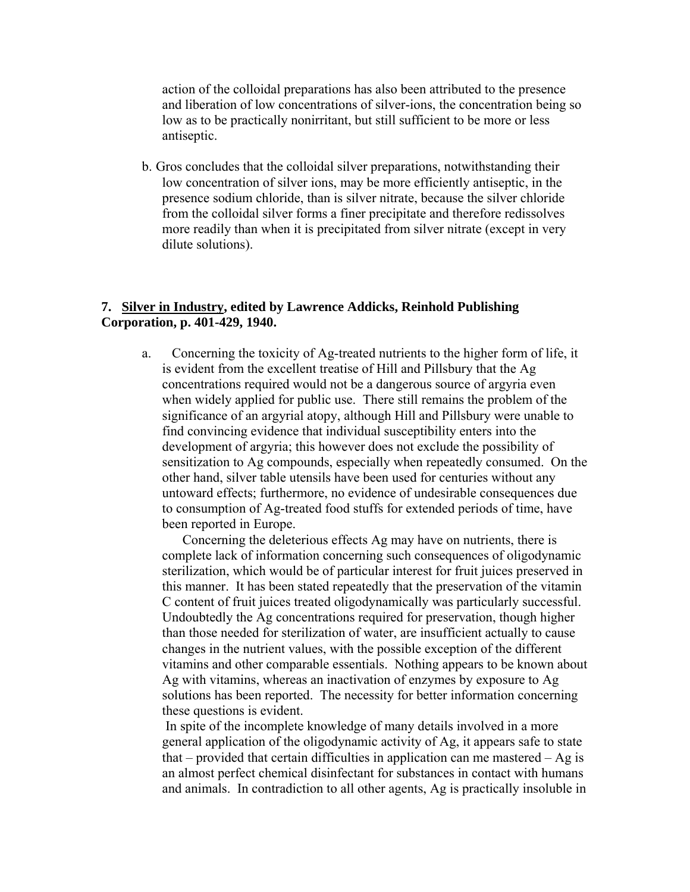action of the colloidal preparations has also been attributed to the presence and liberation of low concentrations of silver-ions, the concentration being so low as to be practically nonirritant, but still sufficient to be more or less antiseptic.

b. Gros concludes that the colloidal silver preparations, notwithstanding their low concentration of silver ions, may be more efficiently antiseptic, in the presence sodium chloride, than is silver nitrate, because the silver chloride from the colloidal silver forms a finer precipitate and therefore redissolves more readily than when it is precipitated from silver nitrate (except in very dilute solutions).

#### **7. Silver in Industry, edited by Lawrence Addicks, Reinhold Publishing Corporation, p. 401-429, 1940.**

a. Concerning the toxicity of Ag-treated nutrients to the higher form of life, it is evident from the excellent treatise of Hill and Pillsbury that the Ag concentrations required would not be a dangerous source of argyria even when widely applied for public use. There still remains the problem of the significance of an argyrial atopy, although Hill and Pillsbury were unable to find convincing evidence that individual susceptibility enters into the development of argyria; this however does not exclude the possibility of sensitization to Ag compounds, especially when repeatedly consumed. On the other hand, silver table utensils have been used for centuries without any untoward effects; furthermore, no evidence of undesirable consequences due to consumption of Ag-treated food stuffs for extended periods of time, have been reported in Europe.

Concerning the deleterious effects Ag may have on nutrients, there is complete lack of information concerning such consequences of oligodynamic sterilization, which would be of particular interest for fruit juices preserved in this manner. It has been stated repeatedly that the preservation of the vitamin C content of fruit juices treated oligodynamically was particularly successful. Undoubtedly the Ag concentrations required for preservation, though higher than those needed for sterilization of water, are insufficient actually to cause changes in the nutrient values, with the possible exception of the different vitamins and other comparable essentials. Nothing appears to be known about Ag with vitamins, whereas an inactivation of enzymes by exposure to Ag solutions has been reported. The necessity for better information concerning these questions is evident.

 In spite of the incomplete knowledge of many details involved in a more general application of the oligodynamic activity of Ag, it appears safe to state that – provided that certain difficulties in application can me mastered – Ag is an almost perfect chemical disinfectant for substances in contact with humans and animals. In contradiction to all other agents, Ag is practically insoluble in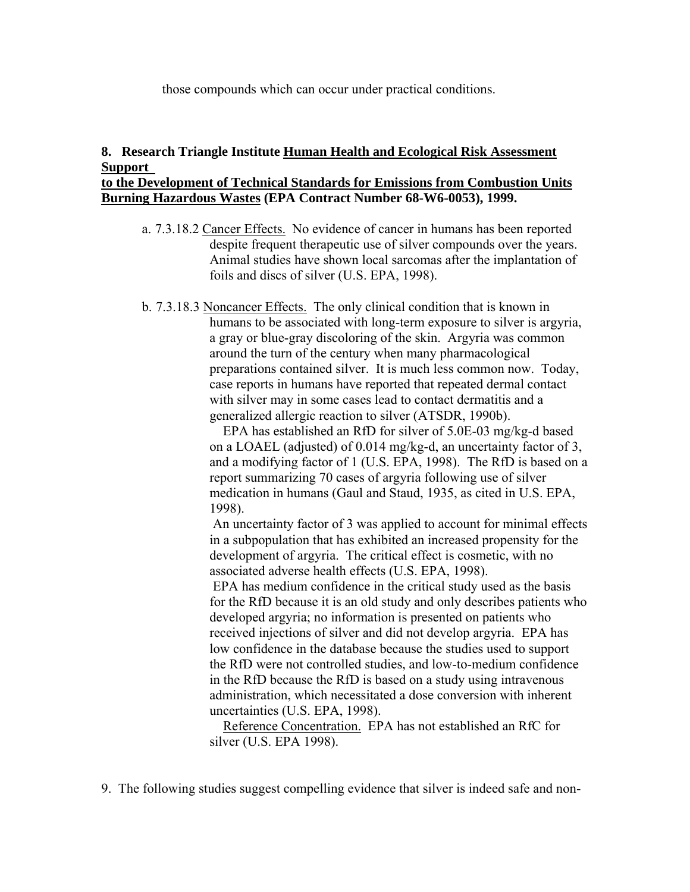those compounds which can occur under practical conditions.

#### **8. Research Triangle Institute Human Health and Ecological Risk Assessment Support to the Development of Technical Standards for Emissions from Combustion Units Burning Hazardous Wastes (EPA Contract Number 68-W6-0053), 1999.**

- a. 7.3.18.2 Cancer Effects. No evidence of cancer in humans has been reported despite frequent therapeutic use of silver compounds over the years. Animal studies have shown local sarcomas after the implantation of foils and discs of silver (U.S. EPA, 1998).
- b. 7.3.18.3 Noncancer Effects. The only clinical condition that is known in humans to be associated with long-term exposure to silver is argyria, a gray or blue-gray discoloring of the skin. Argyria was common around the turn of the century when many pharmacological preparations contained silver. It is much less common now. Today, case reports in humans have reported that repeated dermal contact with silver may in some cases lead to contact dermatitis and a generalized allergic reaction to silver (ATSDR, 1990b).

EPA has established an RfD for silver of 5.0E-03 mg/kg-d based on a LOAEL (adjusted) of 0.014 mg/kg-d, an uncertainty factor of 3, and a modifying factor of 1 (U.S. EPA, 1998). The RfD is based on a report summarizing 70 cases of argyria following use of silver medication in humans (Gaul and Staud, 1935, as cited in U.S. EPA, 1998).

 An uncertainty factor of 3 was applied to account for minimal effects in a subpopulation that has exhibited an increased propensity for the development of argyria. The critical effect is cosmetic, with no associated adverse health effects (U.S. EPA, 1998).

 EPA has medium confidence in the critical study used as the basis for the RfD because it is an old study and only describes patients who developed argyria; no information is presented on patients who received injections of silver and did not develop argyria. EPA has low confidence in the database because the studies used to support the RfD were not controlled studies, and low-to-medium confidence in the RfD because the RfD is based on a study using intravenous administration, which necessitated a dose conversion with inherent uncertainties (U.S. EPA, 1998).

Reference Concentration. EPA has not established an RfC for silver (U.S. EPA 1998).

9. The following studies suggest compelling evidence that silver is indeed safe and non-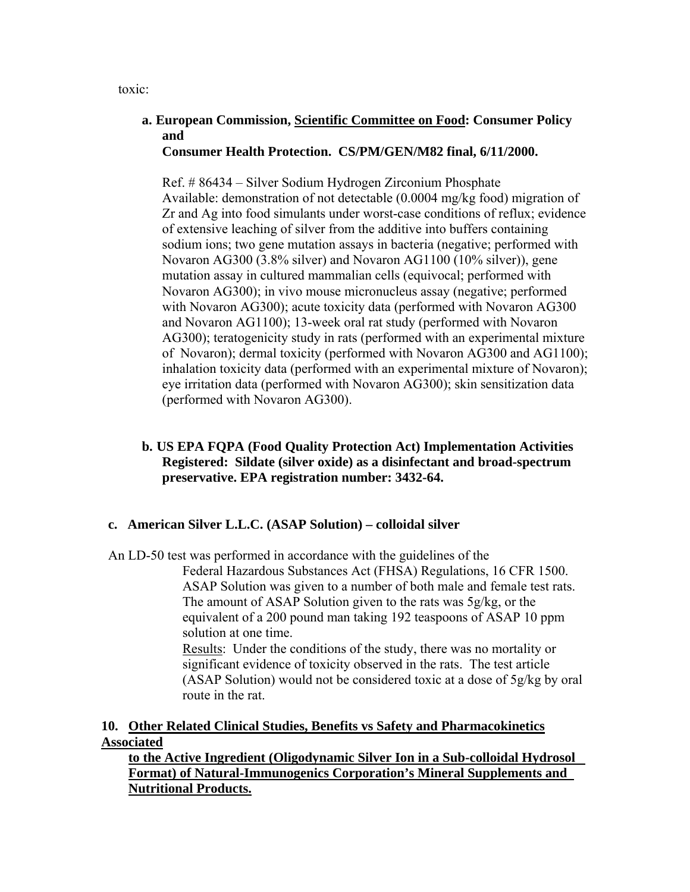toxic:

#### **a. European Commission, Scientific Committee on Food: Consumer Policy and Consumer Health Protection. CS/PM/GEN/M82 final, 6/11/2000.**

Ref. # 86434 – Silver Sodium Hydrogen Zirconium Phosphate Available: demonstration of not detectable (0.0004 mg/kg food) migration of Zr and Ag into food simulants under worst-case conditions of reflux; evidence of extensive leaching of silver from the additive into buffers containing sodium ions; two gene mutation assays in bacteria (negative; performed with Novaron AG300 (3.8% silver) and Novaron AG1100 (10% silver)), gene mutation assay in cultured mammalian cells (equivocal; performed with Novaron AG300); in vivo mouse micronucleus assay (negative; performed with Novaron AG300); acute toxicity data (performed with Novaron AG300 and Novaron AG1100); 13-week oral rat study (performed with Novaron AG300); teratogenicity study in rats (performed with an experimental mixture of Novaron); dermal toxicity (performed with Novaron AG300 and AG1100); inhalation toxicity data (performed with an experimental mixture of Novaron); eye irritation data (performed with Novaron AG300); skin sensitization data (performed with Novaron AG300).

#### **b. US EPA FQPA (Food Quality Protection Act) Implementation Activities Registered: Sildate (silver oxide) as a disinfectant and broad-spectrum preservative. EPA registration number: 3432-64.**

### **c. American Silver L.L.C. (ASAP Solution) – colloidal silver**

An LD-50 test was performed in accordance with the guidelines of the

Federal Hazardous Substances Act (FHSA) Regulations, 16 CFR 1500. ASAP Solution was given to a number of both male and female test rats. The amount of ASAP Solution given to the rats was 5g/kg, or the equivalent of a 200 pound man taking 192 teaspoons of ASAP 10 ppm solution at one time.

Results: Under the conditions of the study, there was no mortality or significant evidence of toxicity observed in the rats. The test article (ASAP Solution) would not be considered toxic at a dose of 5g/kg by oral route in the rat.

### **10. Other Related Clinical Studies, Benefits vs Safety and Pharmacokinetics Associated**

 **to the Active Ingredient (Oligodynamic Silver Ion in a Sub-colloidal Hydrosol Format) of Natural-Immunogenics Corporation's Mineral Supplements and Nutritional Products.**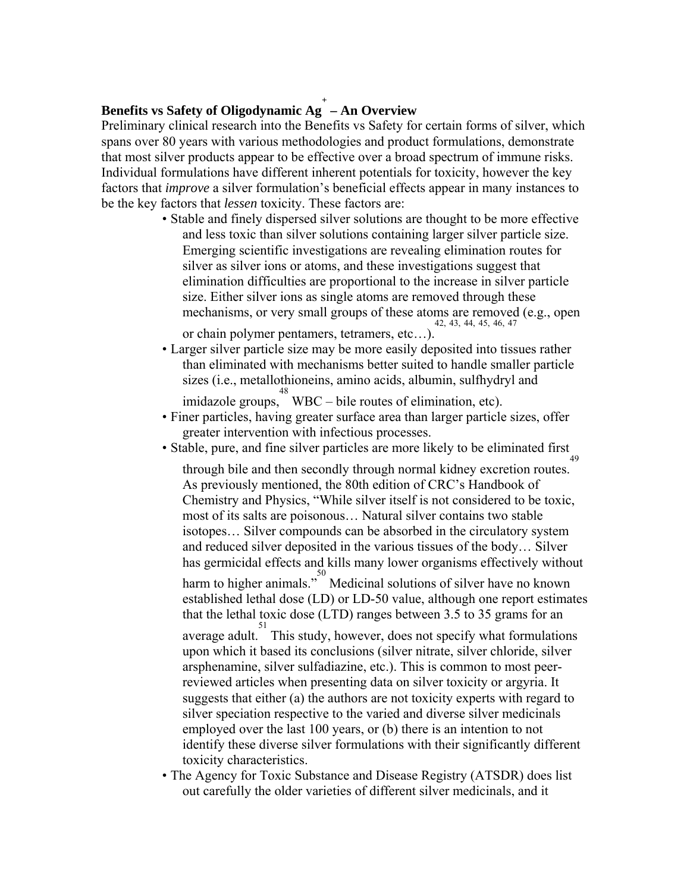# **Benefits vs Safety of Oligodynamic Ag<sup>+</sup> – An Overview**

Preliminary clinical research into the Benefits vs Safety for certain forms of silver, which spans over 80 years with various methodologies and product formulations, demonstrate that most silver products appear to be effective over a broad spectrum of immune risks. Individual formulations have different inherent potentials for toxicity, however the key factors that *improve* a silver formulation's beneficial effects appear in many instances to be the key factors that *lessen* toxicity. These factors are:

- Stable and finely dispersed silver solutions are thought to be more effective and less toxic than silver solutions containing larger silver particle size. Emerging scientific investigations are revealing elimination routes for silver as silver ions or atoms, and these investigations suggest that elimination difficulties are proportional to the increase in silver particle size. Either silver ions as single atoms are removed through these mechanisms, or very small groups of these atoms are removed (e.g., open or chain polymer pentamers, tetramers, etc...). or chain polymer pentamers, tetramers, etc…).
- Larger silver particle size may be more easily deposited into tissues rather than eliminated with mechanisms better suited to handle smaller particle sizes (i.e., metallothioneins, amino acids, albumin, sulfhydryl and

imidazole groups, <sup>48</sup> WBC – bile routes of elimination, etc).

- Finer particles, having greater surface area than larger particle sizes, offer greater intervention with infectious processes.
- Stable, pure, and fine silver particles are more likely to be eliminated first

through bile and then secondly through normal kidney excretion routes. 49 As previously mentioned, the 80th edition of CRC's Handbook of Chemistry and Physics, "While silver itself is not considered to be toxic, most of its salts are poisonous… Natural silver contains two stable isotopes… Silver compounds can be absorbed in the circulatory system and reduced silver deposited in the various tissues of the body… Silver has germicidal effects and kills many lower organisms effectively without harm to higher animals."<sup>50</sup> Medicinal solutions of silver have no known established lethal dose (LD) or LD-50 value, although one report estimates that the lethal toxic dose (LTD) ranges between 3.5 to 35 grams for an average adult. 51 This study, however, does not specify what formulations upon which it based its conclusions (silver nitrate, silver chloride, silver arsphenamine, silver sulfadiazine, etc.). This is common to most peerreviewed articles when presenting data on silver toxicity or argyria. It suggests that either (a) the authors are not toxicity experts with regard to silver speciation respective to the varied and diverse silver medicinals employed over the last 100 years, or (b) there is an intention to not identify these diverse silver formulations with their significantly different toxicity characteristics.

• The Agency for Toxic Substance and Disease Registry (ATSDR) does list out carefully the older varieties of different silver medicinals, and it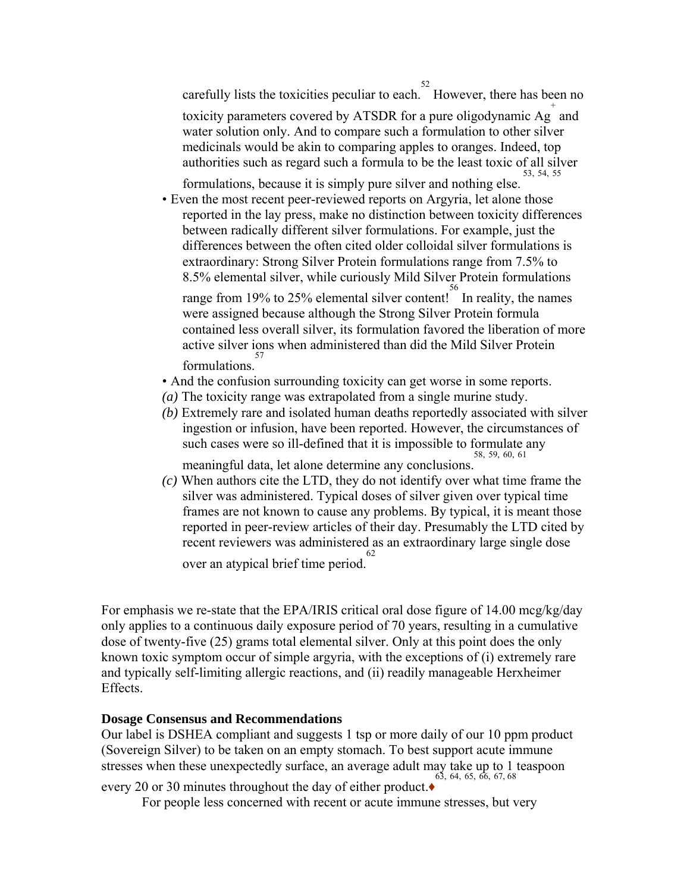carefully lists the toxicities peculiar to each.  $52$  However, there has been no toxicity parameters covered by ATSDR for a pure oligodynamic  $\overrightarrow{Ag}^+$  and water solution only. And to compare such a formulation to other silver medicinals would be akin to comparing apples to oranges. Indeed, top authorities such as regard such a formula to be the least toxic of all silver 53, 54, 55

formulations, because it is simply pure silver and nothing else.

• Even the most recent peer-reviewed reports on Argyria, let alone those reported in the lay press, make no distinction between toxicity differences between radically different silver formulations. For example, just the differences between the often cited older colloidal silver formulations is extraordinary: Strong Silver Protein formulations range from 7.5% to 8.5% elemental silver, while curiously Mild Silver Protein formulations

range from 19% to 25% elemental silver content! In reality, the names were assigned because although the Strong Silver Protein formula contained less overall silver, its formulation favored the liberation of more active silver ions when administered than did the Mild Silver Protein formulations. 57

- And the confusion surrounding toxicity can get worse in some reports.
- *(a)* The toxicity range was extrapolated from a single murine study.
- *(b)* Extremely rare and isolated human deaths reportedly associated with silver ingestion or infusion, have been reported. However, the circumstances of such cases were so ill-defined that it is impossible to formulate any 58, 59, 60, 61

meaningful data, let alone determine any conclusions.

*(c)* When authors cite the LTD, they do not identify over what time frame the silver was administered. Typical doses of silver given over typical time frames are not known to cause any problems. By typical, it is meant those reported in peer-review articles of their day. Presumably the LTD cited by recent reviewers was administered as an extraordinary large single dose 62

over an atypical brief time period.

For emphasis we re-state that the EPA/IRIS critical oral dose figure of 14.00 mcg/kg/day only applies to a continuous daily exposure period of 70 years, resulting in a cumulative dose of twenty-five (25) grams total elemental silver. Only at this point does the only known toxic symptom occur of simple argyria, with the exceptions of (i) extremely rare and typically self-limiting allergic reactions, and (ii) readily manageable Herxheimer Effects.

#### **Dosage Consensus and Recommendations**

Our label is DSHEA compliant and suggests 1 tsp or more daily of our 10 ppm product (Sovereign Silver) to be taken on an empty stomach. To best support acute immune stresses when these unexpectedly surface, an average adult may take up to 1 teaspoon every 20 or 30 minutes throughout the day of either product.♦ 63, 64, 65, 66, 67, 68

For people less concerned with recent or acute immune stresses, but very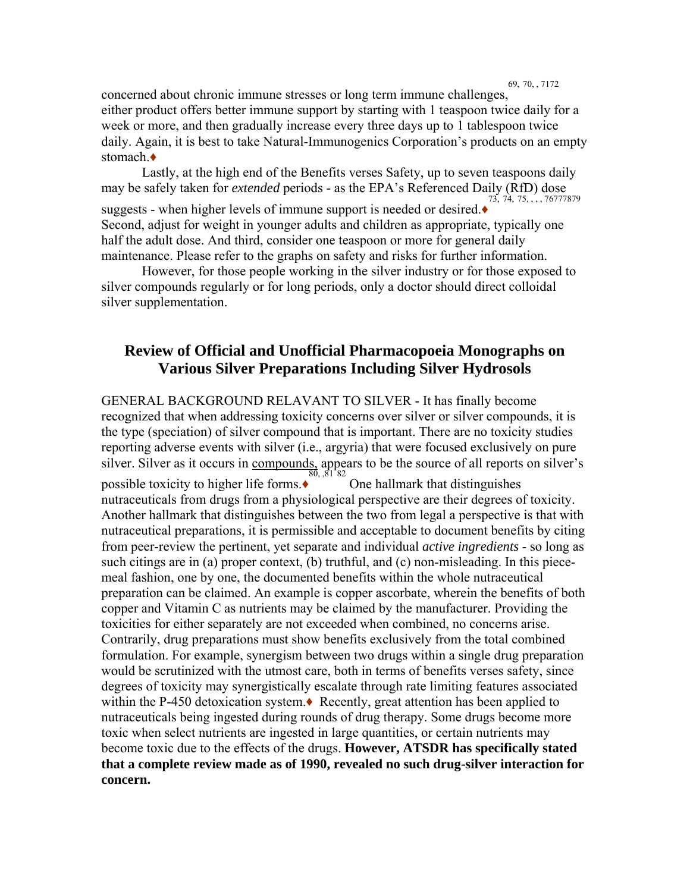69, 70, , 7172

concerned about chronic immune stresses or long term immune challenges, either product offers better immune support by starting with 1 teaspoon twice daily for a week or more, and then gradually increase every three days up to 1 tablespoon twice daily. Again, it is best to take Natural-Immunogenics Corporation's products on an empty stomach  $\triangle$ 

Lastly, at the high end of the Benefits verses Safety, up to seven teaspoons daily may be safely taken for *extended* periods - as the EPA's Referenced Daily (RfD) dose suggests - when higher levels of immune support is needed or desired. $\bullet$  73, 74, 75,  $\ldots$ , 76777879 Second, adjust for weight in younger adults and children as appropriate, typically one half the adult dose. And third, consider one teaspoon or more for general daily maintenance. Please refer to the graphs on safety and risks for further information.

However, for those people working in the silver industry or for those exposed to silver compounds regularly or for long periods, only a doctor should direct colloidal silver supplementation.

## **Review of Official and Unofficial Pharmacopoeia Monographs on Various Silver Preparations Including Silver Hydrosols**

GENERAL BACKGROUND RELAVANT TO SILVER - It has finally become recognized that when addressing toxicity concerns over silver or silver compounds, it is the type (speciation) of silver compound that is important. There are no toxicity studies reporting adverse events with silver (i.e., argyria) that were focused exclusively on pure silver. Silver as it occurs in compounds, appears to be the source of all reports on silver's possible toxicity to higher life forms.♦ One hallmark that distinguishes nutraceuticals from drugs from a physiological perspective are their degrees of toxicity. Another hallmark that distinguishes between the two from legal a perspective is that with nutraceutical preparations, it is permissible and acceptable to document benefits by citing from peer-review the pertinent, yet separate and individual *active ingredients* - so long as such citings are in (a) proper context, (b) truthful, and (c) non-misleading. In this piecemeal fashion, one by one, the documented benefits within the whole nutraceutical preparation can be claimed. An example is copper ascorbate, wherein the benefits of both copper and Vitamin C as nutrients may be claimed by the manufacturer. Providing the toxicities for either separately are not exceeded when combined, no concerns arise. Contrarily, drug preparations must show benefits exclusively from the total combined formulation. For example, synergism between two drugs within a single drug preparation would be scrutinized with the utmost care, both in terms of benefits verses safety, since degrees of toxicity may synergistically escalate through rate limiting features associated within the P-450 detoxication system.♦ Recently, great attention has been applied to nutraceuticals being ingested during rounds of drug therapy. Some drugs become more toxic when select nutrients are ingested in large quantities, or certain nutrients may become toxic due to the effects of the drugs. **However, ATSDR has specifically stated that a complete review made as of 1990, revealed no such drug-silver interaction for concern.**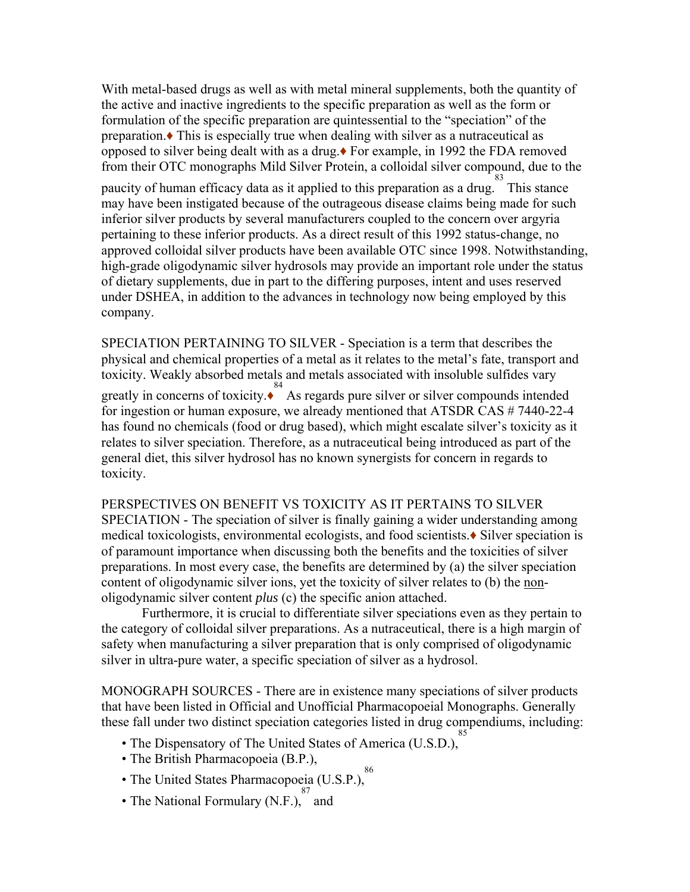With metal-based drugs as well as with metal mineral supplements, both the quantity of the active and inactive ingredients to the specific preparation as well as the form or formulation of the specific preparation are quintessential to the "speciation" of the preparation.♦ This is especially true when dealing with silver as a nutraceutical as opposed to silver being dealt with as a drug.♦ For example, in 1992 the FDA removed from their OTC monographs Mild Silver Protein, a colloidal silver compound, due to the

paucity of human efficacy data as it applied to this preparation as a drug. This stance may have been instigated because of the outrageous disease claims being made for such inferior silver products by several manufacturers coupled to the concern over argyria pertaining to these inferior products. As a direct result of this 1992 status-change, no approved colloidal silver products have been available OTC since 1998. Notwithstanding, high-grade oligodynamic silver hydrosols may provide an important role under the status of dietary supplements, due in part to the differing purposes, intent and uses reserved under DSHEA, in addition to the advances in technology now being employed by this company.

SPECIATION PERTAINING TO SILVER - Speciation is a term that describes the physical and chemical properties of a metal as it relates to the metal's fate, transport and toxicity. Weakly absorbed metals and metals associated with insoluble sulfides vary greatly in concerns of toxicity. $\stackrel{84}{\bullet}$  As regards pure silver or silver compounds intended for ingestion or human exposure, we already mentioned that ATSDR CAS # 7440-22-4 has found no chemicals (food or drug based), which might escalate silver's toxicity as it relates to silver speciation. Therefore, as a nutraceutical being introduced as part of the general diet, this silver hydrosol has no known synergists for concern in regards to toxicity.

PERSPECTIVES ON BENEFIT VS TOXICITY AS IT PERTAINS TO SILVER SPECIATION - The speciation of silver is finally gaining a wider understanding among medical toxicologists, environmental ecologists, and food scientists.♦ Silver speciation is of paramount importance when discussing both the benefits and the toxicities of silver preparations. In most every case, the benefits are determined by (a) the silver speciation content of oligodynamic silver ions, yet the toxicity of silver relates to (b) the nonoligodynamic silver content *plus* (c) the specific anion attached.

Furthermore, it is crucial to differentiate silver speciations even as they pertain to the category of colloidal silver preparations. As a nutraceutical, there is a high margin of safety when manufacturing a silver preparation that is only comprised of oligodynamic silver in ultra-pure water, a specific speciation of silver as a hydrosol.

MONOGRAPH SOURCES - There are in existence many speciations of silver products that have been listed in Official and Unofficial Pharmacopoeial Monographs. Generally these fall under two distinct speciation categories listed in drug compendiums, including: 85

- The Dispensatory of The United States of America (U.S.D.),
- The British Pharmacopoeia (B.P.),
	- 86
- The United States Pharmacopoeia (U.S.P.),
- The National Formulary (N.F.),  $\frac{87}{3}$  and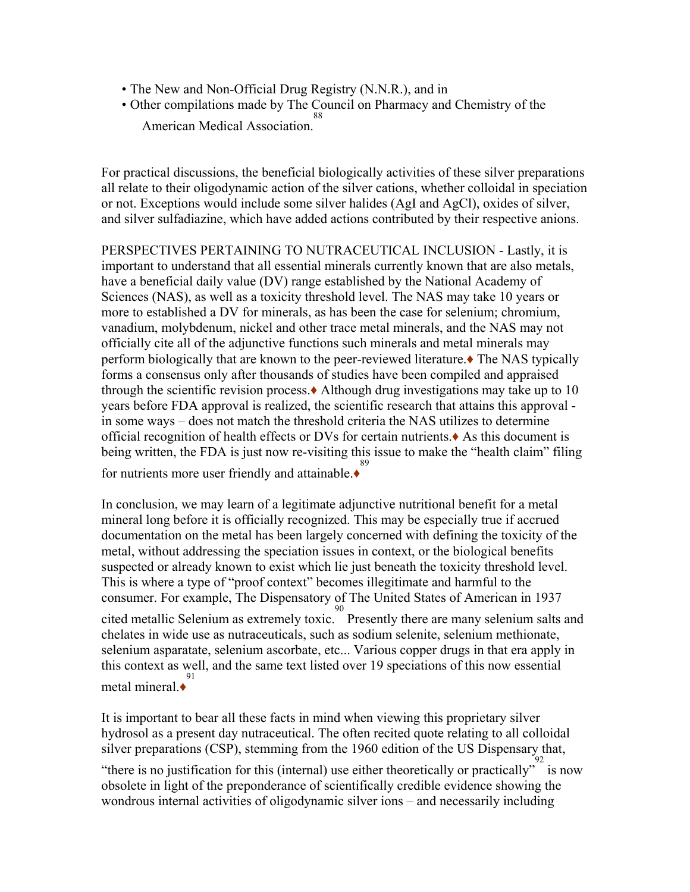- The New and Non-Official Drug Registry (N.N.R.), and in
- Other compilations made by The Council on Pharmacy and Chemistry of the American Medical Association. 88

For practical discussions, the beneficial biologically activities of these silver preparations all relate to their oligodynamic action of the silver cations, whether colloidal in speciation or not. Exceptions would include some silver halides (AgI and AgCl), oxides of silver, and silver sulfadiazine, which have added actions contributed by their respective anions.

PERSPECTIVES PERTAINING TO NUTRACEUTICAL INCLUSION - Lastly, it is important to understand that all essential minerals currently known that are also metals, have a beneficial daily value (DV) range established by the National Academy of Sciences (NAS), as well as a toxicity threshold level. The NAS may take 10 years or more to established a DV for minerals, as has been the case for selenium; chromium, vanadium, molybdenum, nickel and other trace metal minerals, and the NAS may not officially cite all of the adjunctive functions such minerals and metal minerals may perform biologically that are known to the peer-reviewed literature.♦ The NAS typically forms a consensus only after thousands of studies have been compiled and appraised through the scientific revision process.♦ Although drug investigations may take up to 10 years before FDA approval is realized, the scientific research that attains this approval in some ways – does not match the threshold criteria the NAS utilizes to determine official recognition of health effects or DVs for certain nutrients.♦ As this document is being written, the FDA is just now re-visiting this issue to make the "health claim" filing for nutrients more user friendly and attainable.♦

In conclusion, we may learn of a legitimate adjunctive nutritional benefit for a metal mineral long before it is officially recognized. This may be especially true if accrued documentation on the metal has been largely concerned with defining the toxicity of the metal, without addressing the speciation issues in context, or the biological benefits suspected or already known to exist which lie just beneath the toxicity threshold level. This is where a type of "proof context" becomes illegitimate and harmful to the consumer. For example, The Dispensatory of The United States of American in 1937 cited metallic Selenium as extremely toxic. 90 Presently there are many selenium salts and chelates in wide use as nutraceuticals, such as sodium selenite, selenium methionate, selenium asparatate, selenium ascorbate, etc... Various copper drugs in that era apply in this context as well, and the same text listed over 19 speciations of this now essential metal mineral.♦ 91

It is important to bear all these facts in mind when viewing this proprietary silver hydrosol as a present day nutraceutical. The often recited quote relating to all colloidal silver preparations (CSP), stemming from the 1960 edition of the US Dispensary that,

"there is no justification for this (internal) use either theoretically or practically" is now obsolete in light of the preponderance of scientifically credible evidence showing the wondrous internal activities of oligodynamic silver ions – and necessarily including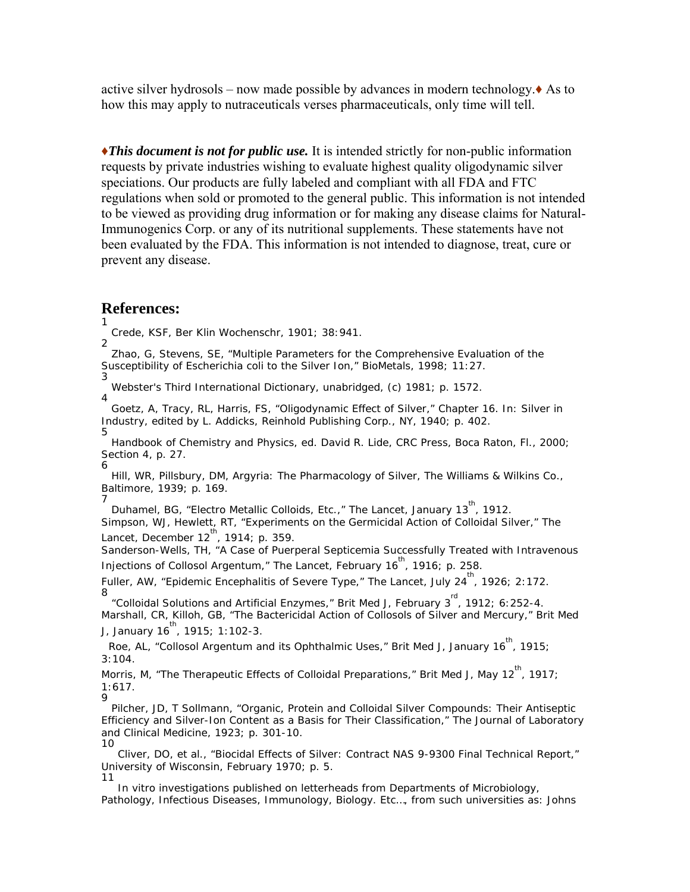active silver hydrosols – now made possible by advances in modern technology. $\triangle$  As to how this may apply to nutraceuticals verses pharmaceuticals, only time will tell.

♦*This document is not for public use.* It is intended strictly for non-public information requests by private industries wishing to evaluate highest quality oligodynamic silver speciations. Our products are fully labeled and compliant with all FDA and FTC regulations when sold or promoted to the general public. This information is not intended to be viewed as providing drug information or for making any disease claims for Natural-Immunogenics Corp. or any of its nutritional supplements. These statements have not been evaluated by the FDA. This information is not intended to diagnose, treat, cure or prevent any disease.

#### **References:**

1 Crede, KSF, *Ber Klin Wochenschr, 1901; 38:941.* 2

 Zhao, G, Stevens, SE, "Multiple Parameters for the Comprehensive Evaluation of the Susceptibility of *Escherichia coli* to the Silver Ion," *BioMetals*, 1998; 11:27. 3

Webster's Third International Dictionary, unabridged, (c) 1981; p. 1572.

4 Goetz, A, Tracy, RL, Harris, FS, "Oligodynamic Effect of Silver," Chapter 16. In: *Silver in Industry,* edited by L. Addicks*,* Reinhold Publishing Corp., NY, 1940; p. 402. 5

*Handbook of Chemistry and Physics*, ed. David R. Lide, CRC Press, Boca Raton, Fl., 2000; Section 4, p. 27.

6 Hill, WR, Pillsbury, DM, *Argyria: The Pharmacology of Silver*, The Williams & Wilkins Co., Baltimore, 1939; p. 169.

7 Duhamel, BG, "Electro Metallic Colloids, Etc.," The Lancet, January 13<sup>th</sup>, 1912. Simpson, WJ, Hewlett, RT, "Experiments on the Germicidal Action of Colloidal Silver," The Lancet, December  $12^{th}$ , 1914; p. 359.

Sanderson-Wells, TH, "A Case of Puerperal Septicemia Successfully Treated with Intravenous Injections of Collosol Argentum," The Lancet, February  $16^{th}$ , 1916; p. 258.

Fuller, AW, "Epidemic Encephalitis of Severe Type," The Lancet, July 24<sup>th</sup>, 1926; 2:172. 8

"Colloidal Solutions and Artificial Enzymes," Brit Med J, February 3<sup>rd</sup>, 1912; 6:252-4. Marshall, CR, Killoh, GB, "The Bactericidal Action of Collosols of Silver and Mercury," *Brit Med J*, January 16<sup>th</sup>, 1915; 1:102-3.

Roe, AL, "Collosol Argentum and its Ophthalmic Uses," *Brit Med J*, January 16<sup>th</sup>, 1915; 3:104.

Morris, M, "The Therapeutic Effects of Colloidal Preparations," *Brit Med J*, May 12<sup>th</sup>, 1917; 1:617. 9

 Pilcher, JD, T Sollmann, "Organic, Protein and Colloidal Silver Compounds: Their Antiseptic Efficiency and Silver-Ion Content as a Basis for Their Classification," *The Journal of Laboratory and Clinical Medicine*, 1923; p. 301-10. 10

 Cliver, DO, et al., "Biocidal Effects of Silver: Contract NAS 9-9300 Final Technical Report," University of Wisconsin, February 1970; p. 5. 11

*In vitro* investigations published on letterheads from Departments of Microbiology, Pathology, Infectious Diseases, Immunology, Biology. Etc…, from such universities as: Johns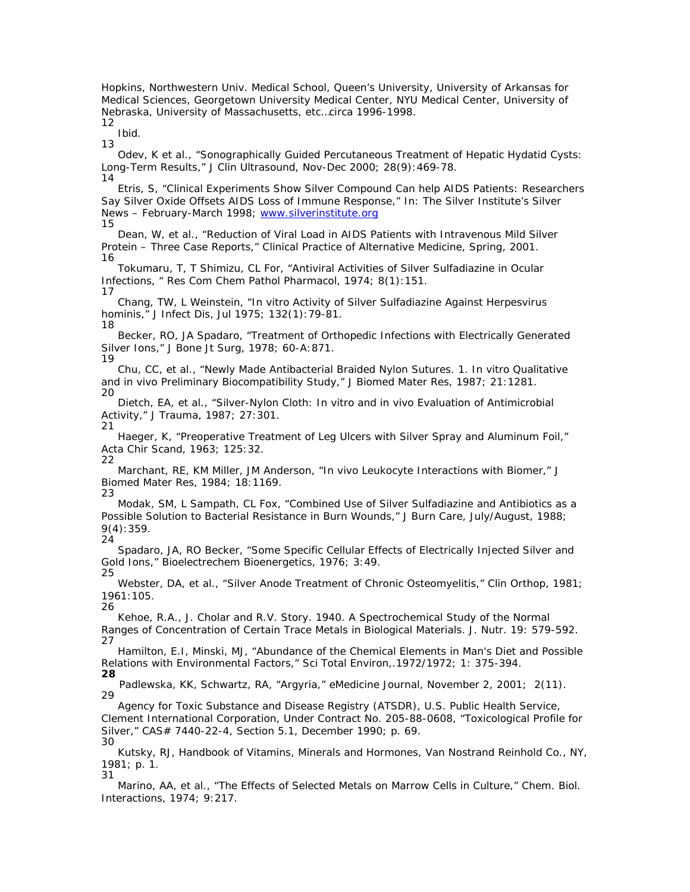Hopkins, Northwestern Univ. Medical School, Queen's University, University of Arkansas for Medical Sciences, Georgetown University Medical Center, NYU Medical Center, University of Nebraska, University of Massachusetts, etc…circa 1996-1998. 12

Ibid.

13

31

 Odev, K et al., "Sonographically Guided Percutaneous Treatment of Hepatic Hydatid Cysts: Long-Term Results," *J Clin Ultrasound*, Nov-Dec 2000; 28(9):469-78. 14

 Etris, S, "Clinical Experiments Show Silver Compound Can help AIDS Patients: Researchers Say Silver Oxide Offsets AIDS Loss of Immune Response," In: The Silver Institute's *Silver News* – February-March 1998; www.silverinstitute.org

15 Dean, W, et al., "Reduction of Viral Load in AIDS Patients with Intravenous Mild Silver Protein – Three Case Reports," *Clinical Practice of Alternative Medicine*, Spring, 2001. 16

 Tokumaru, T, T Shimizu, CL For, "Antiviral Activities of Silver Sulfadiazine in Ocular Infections, " *Res Com Chem Pathol Pharmacol,* 1974; 8(1):151. 17

 Chang, TW, L Weinstein, "*In vitro* Activity of Silver Sulfadiazine Against Herpesvirus hominis," *J Infect Dis,* Jul 1975; 132(1):79-81. 18

 Becker, RO, JA Spadaro, "Treatment of Orthopedic Infections with Electrically Generated Silver Ions," *J Bone Jt Surg,* 1978; 60-A:871. 19

 Chu, CC, et al., "Newly Made Antibacterial Braided Nylon Sutures. 1. *In vitro* Qualitative and *in vivo* Preliminary Biocompatibility Study," *J Biomed Mater Res*, 1987; 21:1281. 20

 Dietch, EA, et al., "Silver-Nylon Cloth: *In vitro* and *in vivo* Evaluation of Antimicrobial Activity," *J Trauma*, 1987; 27:301. 21

 Haeger, K, "Preoperative Treatment of Leg Ulcers with Silver Spray and Aluminum Foil," *Acta Chir Scand*, 1963; 125:32.

22 Marchant, RE, KM Miller, JM Anderson, "*In vivo* Leukocyte Interactions with Biomer," *J Biomed Mater Res*, 1984; 18:1169. 23

 Modak, SM, L Sampath, CL Fox, "Combined Use of Silver Sulfadiazine and Antibiotics as a Possible Solution to Bacterial Resistance in Burn Wounds," *J Burn Care*, July/August, 1988; 9(4):359. 24

 Spadaro, JA, RO Becker, "Some Specific Cellular Effects of Electrically Injected Silver and Gold Ions," *Bioelectrechem Bioenergetics,* 1976; 3:49. 25

 Webster, DA, et al., "Silver Anode Treatment of Chronic Osteomyelitis," *Clin Orthop,* 1981; 1961:105.

26 Kehoe, R.A., J. Cholar and R.V. Story. 1940. A Spectrochemical Study of the Normal Ranges of Concentration of Certain Trace Metals in Biological Materials. *J. Nutr*. 19: 579-592. 27

 Hamilton, E.I, Minski, MJ, "Abundance of the Chemical Elements in Man's Diet and Possible Relations with Environmental Factors," *Sci Total Environ,*.1972/1972; 1: 375-394. **28**

Padlewska, KK, Schwartz, RA, "Argyria," *eMedicine Journal*, November 2, 2001; 2(11). 29

 Agency for Toxic Substance and Disease Registry (ATSDR), U.S. Public Health Service, Clement International Corporation, Under Contract No. 205-88-0608, "Toxicological Profile for Silver," CAS# 7440-22-4, Section 5.1, December 1990; p. 69. 30

 Kutsky, RJ, Handbook of Vitamins, Minerals and Hormones, Van Nostrand Reinhold Co., NY, 1981; p. 1.

 Marino, AA, et al., "The Effects of Selected Metals on Marrow Cells in Culture," *Chem. Biol. Interactions,* 1974; 9:217.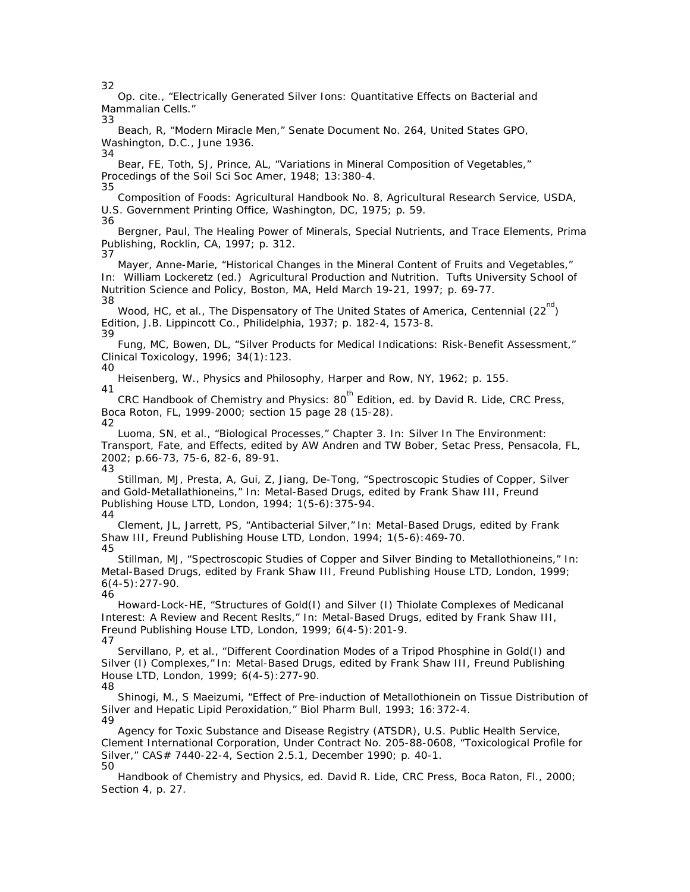32

 Op. cite., "Electrically Generated Silver Ions: Quantitative Effects on Bacterial and Mammalian Cells." 33

 Beach, R, "Modern Miracle Men," *Senate Document No. 264*, United States GPO, Washington, D.C., June 1936. 34

 Bear, FE, Toth, SJ, Prince, AL, "Variations in Mineral Composition of Vegetables," *Procedings of the Soil Sci Soc Amer*, 1948; 13:380-4. 35

*Composition of Foods: Agricultural Handbook No. 8,* Agricultural Research Service, USDA, U.S. Government Printing Office, Washington, DC, 1975; p. 59.

36 Bergner, Paul, *The Healing Power of Minerals, Special Nutrients, and Trace Elements,* Prima Publishing, Rocklin, CA, 1997; p. 312. 37

 Mayer, Anne-Marie, "Historical Changes in the Mineral Content of Fruits and Vegetables," In: William Lockeretz (ed.) Agricultural Production and Nutrition. Tufts University School of Nutrition Science and Policy, Boston, MA, Held March 19-21, 1997; p. 69-77. 38

Wood, HC, et al., The Dispensatory of The United States of America, Centennial  $(22^{nd})$ Edition, J.B. Lippincott Co., Philidelphia, 1937; p. 182-4, 1573-8. 39

 Fung, MC, Bowen, DL, "Silver Products for Medical Indications: Risk-Benefit Assessment," *Clinical Toxicology,* 1996; 34(1):123.

40 Heisenberg, W., *Physics and Philosophy,* Harper and Row, NY, 1962; p. 155.

41 CRC Handbook of Chemistry and Physics: 80<sup>th</sup> Edition, ed. by David R. Lide, CRC Press, Boca Roton, FL, 1999-2000; section 15 page 28 (15-28).

42

 Luoma, SN, et al., "Biological Processes," Chapter 3. In: Silver In The Environment: Transport, Fate, and Effects, edited by AW Andren and TW Bober, Setac Press, Pensacola, FL, 2002; p.66-73, 75-6, 82-6, 89-91. 43

 Stillman, MJ, Presta, A, Gui, Z, Jiang, De-Tong, "Spectroscopic Studies of Copper, Silver and Gold-Metallathioneins," In: Metal-Based Drugs, edited by Frank Shaw III, Freund Publishing House LTD, London, 1994; 1(5-6):375-94.

44

 Clement, JL, Jarrett, PS, "Antibacterial Silver," In: Metal-Based Drugs, edited by Frank Shaw III, Freund Publishing House LTD, London, 1994; 1(5-6): 469-70. 45

 Stillman, MJ, "Spectroscopic Studies of Copper and Silver Binding to Metallothioneins," In: Metal-Based Drugs, edited by Frank Shaw III, Freund Publishing House LTD, London, 1999; 6(4-5):277-90. 46

 Howard-Lock-HE, "Structures of Gold(I) and Silver (I) Thiolate Complexes of Medicanal Interest: A Review and Recent Reslts," In: Metal-Based Drugs, edited by Frank Shaw III, Freund Publishing House LTD, London, 1999; 6(4-5):201-9. 47

 Servillano, P, et al., "Different Coordination Modes of a Tripod Phosphine in Gold(I) and Silver (I) Complexes," In: Metal-Based Drugs, edited by Frank Shaw III, Freund Publishing House LTD, London, 1999; 6(4-5):277-90. 48

 Shinogi, M., S Maeizumi, "Effect of Pre-induction of Metallothionein on Tissue Distribution of Silver and Hepatic Lipid Peroxidation," *Biol Pharm Bull*, 1993; 16:372-4. 49

 Agency for Toxic Substance and Disease Registry (ATSDR), U.S. Public Health Service, Clement International Corporation, Under Contract No. 205-88-0608, "Toxicological Profile for Silver," CAS# 7440-22-4, Section 2.5.1, December 1990; p. 40-1. 50

*Handbook of Chemistry and Physics*, ed. David R. Lide, CRC Press, Boca Raton, Fl., 2000; Section 4, p. 27.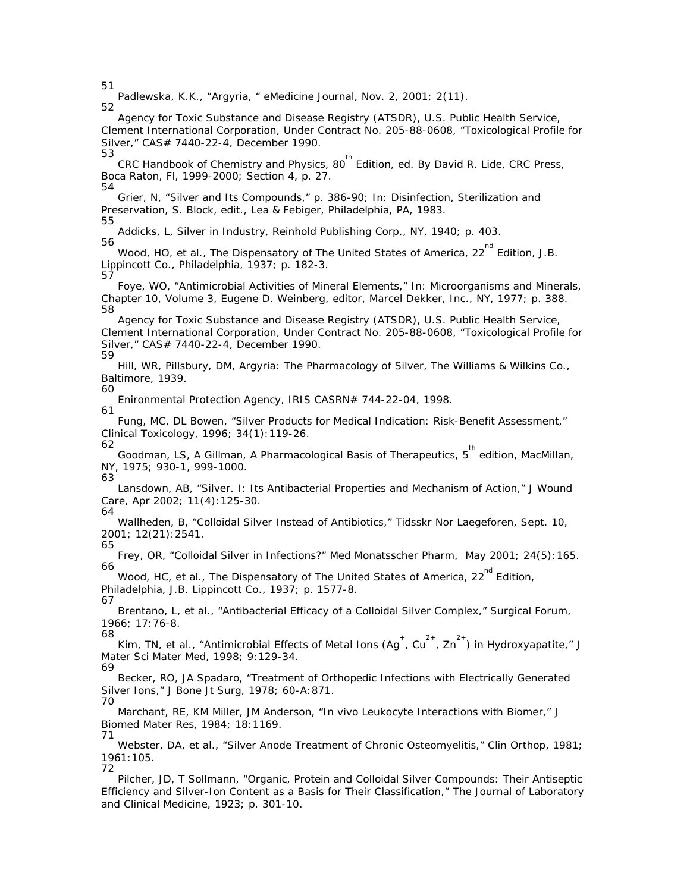51

63

 Padlewska, K.K., "Argyria, " *eMedicine Journal*, Nov. 2, 2001; 2(11). 52

 Agency for Toxic Substance and Disease Registry (ATSDR), U.S. Public Health Service, Clement International Corporation, Under Contract No. 205-88-0608, "Toxicological Profile for Silver," CAS# 7440-22-4, December 1990. 53

*CRC Handbook of Chemistry and Physics*, 80<sup>th</sup> Edition, ed. By David R. Lide, CRC Press, Boca Raton, Fl, 1999-2000; Section 4, p. 27. 54

 Grier, N, "Silver and Its Compounds," p. 386-90; In: *Disinfection, Sterilization and Preservation*, S. Block, edit., Lea & Febiger, Philadelphia, PA, 1983.

55 Addicks, L, *Silver in Industry,* Reinhold Publishing Corp., NY, 1940; p. 403. 56

Wood, HO, et al., *The Dispensatory of The United States of America*, 22<sup>nd</sup> Edition, J.B. Lippincott Co., Philadelphia, 1937; p. 182-3. 57

 Foye, WO, "Antimicrobial Activities of Mineral Elements," In: *Microorganisms and Minerals,*  Chapter 10, Volume 3, Eugene D. Weinberg, editor, Marcel Dekker, Inc., NY, 1977; p. 388. 58

 Agency for Toxic Substance and Disease Registry (ATSDR), U.S. Public Health Service, Clement International Corporation, Under Contract No. 205-88-0608, "Toxicological Profile for Silver," CAS# 7440-22-4, December 1990. 59

 Hill, WR, Pillsbury, DM, *Argyria: The Pharmacology of Silver*, The Williams & Wilkins Co., Baltimore, 1939. 60

 Enironmental Protection Agency, IRIS CASRN# 744-22-04, 1998. 61

 Fung, MC, DL Bowen, "Silver Products for Medical Indication: Risk-Benefit Assessment," *Clinical Toxicology*, 1996; 34(1):119-26. 62

Goodman, LS, A Gillman, A Pharmacological Basis of Therapeutics, 5<sup>th</sup> edition, MacMillan, NY, 1975; 930-1, 999-1000.

 Lansdown, AB, "Silver. I: Its Antibacterial Properties and Mechanism of Action," *J Wound Care,* Apr 2002; 11(4):125-30. 64

 Wallheden, B, "Colloidal Silver Instead of Antibiotics," *Tidsskr Nor Laegeforen,* Sept. 10, 2001; 12(21):2541.

65 Frey, OR, "Colloidal Silver in Infections?" *Med Monatsscher Pharm,* May 2001; 24(5):165. 66

Wood, HC, et al., The Dispensatory of The United States of America, 22<sup>nd</sup> Edition, Philadelphia, J.B. Lippincott Co., 1937; p. 1577-8. 67

 Brentano, L, et al., "Antibacterial Efficacy of a Colloidal Silver Complex," *Surgical Forum,*  1966; 17:76-8.

68 Kim, TN, et al., "Antimicrobial Effects of Metal Ions  $(Ag^+, Cu^{2+}, Zn^{2+})$  in Hydroxyapatite," J *Mater Sci Mater Med*, 1998; 9:129-34.

69 Becker, RO, JA Spadaro, "Treatment of Orthopedic Infections with Electrically Generated Silver Ions," *J Bone Jt Surg,* 1978; 60-A:871. 70

 Marchant, RE, KM Miller, JM Anderson, "*In vivo* Leukocyte Interactions with Biomer," *J Biomed Mater Res*, 1984; 18:1169. 71

 Webster, DA, et al., "Silver Anode Treatment of Chronic Osteomyelitis," *Clin Orthop,* 1981; 1961:105. 72

 Pilcher, JD, T Sollmann, "Organic, Protein and Colloidal Silver Compounds: Their Antiseptic Efficiency and Silver-Ion Content as a Basis for Their Classification," *The Journal of Laboratory and Clinical Medicine*, 1923; p. 301-10.